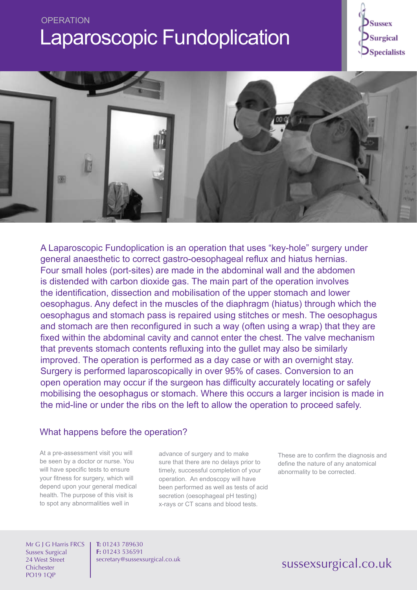# **OPERATION** Laparoscopic Fundoplication





A Laparoscopic Fundoplication is an operation that uses "key-hole" surgery under general anaesthetic to correct gastro-oesophageal reflux and hiatus hernias. Four small holes (port-sites) are made in the abdominal wall and the abdomen is distended with carbon dioxide gas. The main part of the operation involves the identification, dissection and mobilisation of the upper stomach and lower oesophagus. Any defect in the muscles of the diaphragm (hiatus) through which the oesophagus and stomach pass is repaired using stitches or mesh. The oesophagus and stomach are then reconfigured in such a way (often using a wrap) that they are fixed within the abdominal cavity and cannot enter the chest. The valve mechanism that prevents stomach contents refluxing into the gullet may also be similarly improved. The operation is performed as a day case or with an overnight stay. Surgery is performed laparoscopically in over 95% of cases. Conversion to an open operation may occur if the surgeon has difficulty accurately locating or safely mobilising the oesophagus or stomach. Where this occurs a larger incision is made in the mid-line or under the ribs on the left to allow the operation to proceed safely.

### What happens before the operation?

At a pre-assessment visit you will be seen by a doctor or nurse. You will have specific tests to ensure your fitness for surgery, which will depend upon your general medical health. The purpose of this visit is to spot any abnormalities well in

advance of surgery and to make sure that there are no delays prior to timely, successful completion of your operation. An endoscopy will have been performed as well as tests of acid secretion (oesophageal pH testing) x-rays or CT scans and blood tests.

These are to confirm the diagnosis and define the nature of any anatomical abnormality to be corrected.

Mr G J G Harris FRCS Sussex Surgical 24 West Street **Chichester** PO19 1QP

**T:** 01243 789630 **F:** 01243 536591 secretary@sussexsurgical.co.uk

## sussexsurgical.co.uk